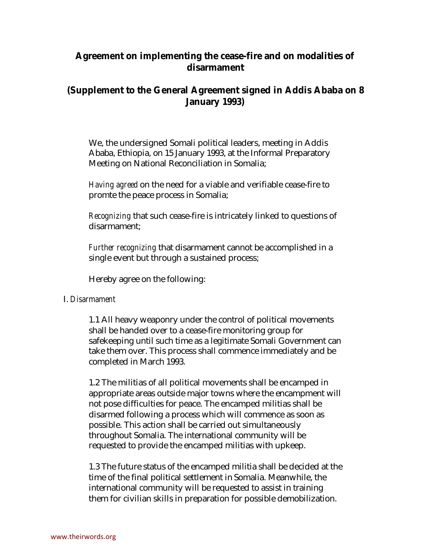## **Agreement on implementing the cease-fire and on modalities of disarmament**

## **(Supplement to the General Agreement signed in Addis Ababa on 8 January 1993)**

We, the undersigned Somali political leaders, meeting in Addis Ababa, Ethiopia, on 15 January 1993, at the Informal Preparatory Meeting on National Reconciliation in Somalia;

*Having agreed* on the need for a viable and verifiable cease-fire to promte the peace process in Somalia;

*Recognizing* that such cease-fire is intricately linked to questions of disarmament;

*Further recognizing* that disarmament cannot be accomplished in a single event but through a sustained process;

Hereby agree on the following:

## I. *Disarmament*

1.1 All heavy weaponry under the control of political movements shall be handed over to a cease-fire monitoring group for safekeeping until such time as a legitimate Somali Government can take them over. This process shall commence immediately and be completed in March 1993.

1.2 The militias of all political movements shall be encamped in appropriate areas outside major towns where the encampment will not pose difficulties for peace. The encamped militias shall be disarmed following a process which will commence as soon as possible. This action shall be carried out simultaneously throughout Somalia. The international community will be requested to provide the encamped militias with upkeep.

1.3 The future status of the encamped militia shall be decided at the time of the final political settlement in Somalia. Meanwhile, the international community will be requested to assist in training them for civilian skills in preparation for possible demobilization.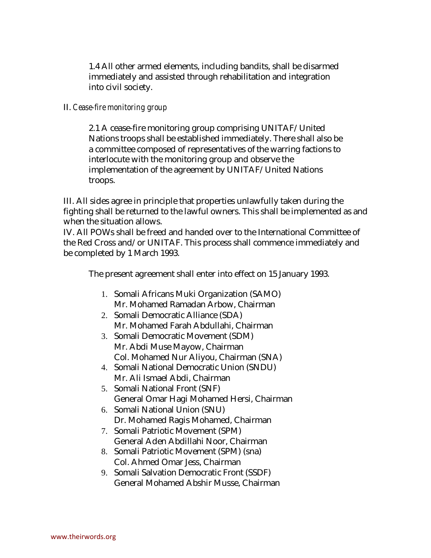1.4 All other armed elements, including bandits, shall be disarmed immediately and assisted through rehabilitation and integration into civil society.

## II. *Cease-fire monitoring group*

2.1 A cease-fire monitoring group comprising UNITAF/United Nations troops shall be established immediately. There shall also be a committee composed of representatives of the warring factions to interlocute with the monitoring group and observe the implementation of the agreement by UNITAF/United Nations troops.

III. All sides agree in principle that properties unlawfully taken during the fighting shall be returned to the lawful owners. This shall be implemented as and when the situation allows.

IV. All POWs shall be freed and handed over to the International Committee of the Red Cross and/or UNITAF. This process shall commence immediately and be completed by 1 March 1993.

The present agreement shall enter into effect on 15 January 1993.

- 1. Somali Africans Muki Organization (SAMO) Mr. Mohamed Ramadan Arbow, Chairman
- 2. Somali Democratic Alliance (SDA) Mr. Mohamed Farah Abdullahi, Chairman
- 3. Somali Democratic Movement (SDM) Mr. Abdi Muse Mayow, Chairman Col. Mohamed Nur Aliyou, Chairman (SNA)
- 4. Somali National Democratic Union (SNDU) Mr. Ali Ismael Abdi, Chairman
- 5. Somali National Front (SNF) General Omar Hagi Mohamed Hersi, Chairman
- 6. Somali National Union (SNU) Dr. Mohamed Ragis Mohamed, Chairman
- 7. Somali Patriotic Movement (SPM) General Aden Abdillahi Noor, Chairman
- 8. Somali Patriotic Movement (SPM) (sna) Col. Ahmed Omar Jess, Chairman
- 9. Somali Salvation Democratic Front (SSDF) General Mohamed Abshir Musse, Chairman